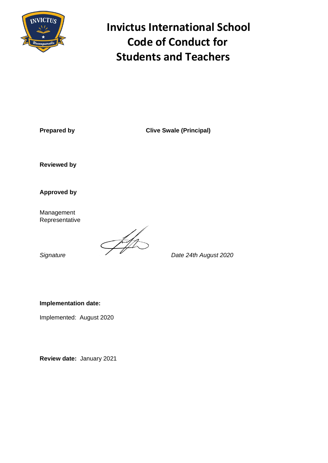

# **INVICTUS Invictus International School Code of Conduct for Students and Teachers**

**Prepared by Clive Swale (Principal)** 

**Reviewed by**

**Approved by**

Management Representative

Signature **Company of the US**<br>Date 24th August 2020

**Implementation date:** 

Implemented: August 2020

**Review date:** January 2021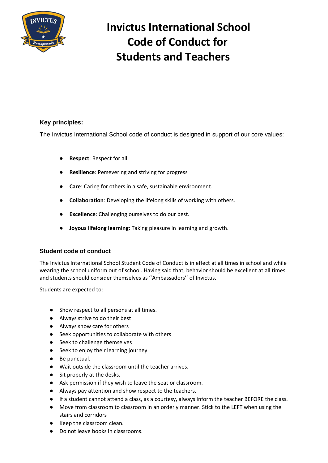

# **Invictus International School Code of Conduct for Students and Teachers**

#### **Key principles:**

The Invictus International School code of conduct is designed in support of our core values:

- **Respect**: Respect for all.
- **Resilience**: Persevering and striving for progress
- **Care**: Caring for others in a safe, sustainable environment.
- **Collaboration**: Developing the lifelong skills of working with others.
- **Excellence**: Challenging ourselves to do our best.
- **Joyous lifelong learning**: Taking pleasure in learning and growth.

#### **Student code of conduct**

The Invictus International School Student Code of Conduct is in effect at all times in school and while wearing the school uniform out of school. Having said that, behavior should be excellent at all times and students should consider themselves as ''Ambassadors'' of Invictus.

Students are expected to:

- Show respect to all persons at all times.
- Always strive to do their best
- Always show care for others
- Seek opportunities to collaborate with others
- Seek to challenge themselves
- Seek to enjoy their learning journey
- Be punctual.
- Wait outside the classroom until the teacher arrives.
- Sit properly at the desks.
- Ask permission if they wish to leave the seat or classroom.
- Always pay attention and show respect to the teachers.
- If a student cannot attend a class, as a courtesy, always inform the teacher BEFORE the class.
- Move from classroom to classroom in an orderly manner. Stick to the LEFT when using the stairs and corridors
- Keep the classroom clean.
- Do not leave books in classrooms.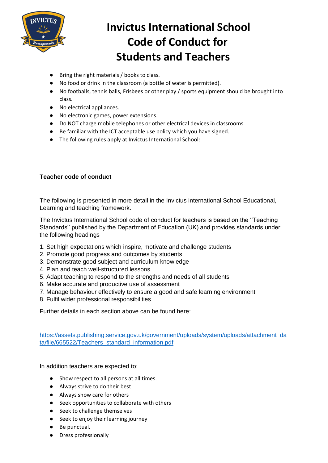

### **Invictus International School Code of Conduct for Students and Teachers**

- Bring the right materials / books to class.
- No food or drink in the classroom (a bottle of water is permitted).
- No footballs, tennis balls, Frisbees or other play / sports equipment should be brought into class.
- No electrical appliances.
- No electronic games, power extensions.
- Do NOT charge mobile telephones or other electrical devices in classrooms.
- Be familiar with the ICT acceptable use policy which you have signed.
- The following rules apply at Invictus International School:

#### **Teacher code of conduct**

The following is presented in more detail in the Invictus international School Educational, Learning and teaching framework.

The Invictus International School code of conduct for teachers is based on the ''Teaching Standards'' published by the Department of Education (UK) and provides standards under the following headings

- 1. Set high expectations which inspire, motivate and challenge students
- 2. Promote good progress and outcomes by students
- 3. Demonstrate good subject and curriculum knowledge
- 4. Plan and teach well-structured lessons
- 5. Adapt teaching to respond to the strengths and needs of all students
- 6. Make accurate and productive use of assessment
- 7. Manage behaviour effectively to ensure a good and safe learning environment
- 8. Fulfil wider professional responsibilities

Further details in each section above can be found here:

[https://assets.publishing.service.gov.uk/government/uploads/system/uploads/attachment\\_da](https://assets.publishing.service.gov.uk/government/uploads/system/uploads/attachment_data/file/665522/Teachers_standard_information.pdf) [ta/file/665522/Teachers\\_standard\\_information.pdf](https://assets.publishing.service.gov.uk/government/uploads/system/uploads/attachment_data/file/665522/Teachers_standard_information.pdf)

In addition teachers are expected to:

- Show respect to all persons at all times.
- Always strive to do their best
- Always show care for others
- Seek opportunities to collaborate with others
- Seek to challenge themselves
- Seek to enjoy their learning journey
- Be punctual.
- Dress professionally